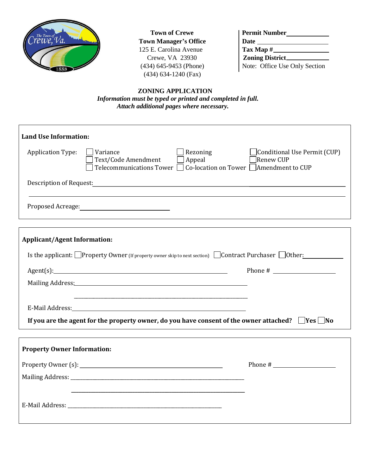

**Town of Crewe Town Manager's Office** 125 E. Carolina Avenue Crewe, VA 23930  $(434) 645 - 9453$  (Phone) (434) 634-1240 (Fax)

| <b>Permit Number</b>          |
|-------------------------------|
| Date                          |
| Tax Map $#_$                  |
| <b>Zoning District.</b>       |
| Note: Office Use Only Section |

 **ZONING APPLICATION**  *Information must be typed or printed and completed in full. Attach additional pages where necessary.*

| Land Use Information:                                                                                        |                                                                                                                  |                                                                                                           |                                           |
|--------------------------------------------------------------------------------------------------------------|------------------------------------------------------------------------------------------------------------------|-----------------------------------------------------------------------------------------------------------|-------------------------------------------|
| Application Type:                                                                                            | Variance<br>Text/Code Amendment                                                                                  | Rezoning<br>$\Box$ Appeal<br>Telecommunications Tower $\Box$ Co-location on Tower $\Box$ Amendment to CUP | Conditional Use Permit (CUP)<br>Renew CUP |
|                                                                                                              |                                                                                                                  |                                                                                                           |                                           |
|                                                                                                              |                                                                                                                  |                                                                                                           |                                           |
|                                                                                                              |                                                                                                                  |                                                                                                           |                                           |
| <b>Applicant/Agent Information:</b>                                                                          |                                                                                                                  |                                                                                                           |                                           |
| Is the applicant: Property Owner (If property owner skip to next section) Contract Purchaser Other:          |                                                                                                                  |                                                                                                           |                                           |
|                                                                                                              | Agent(s):                                                                                                        |                                                                                                           |                                           |
|                                                                                                              | Mailing Address: Mailing Address: Mailing Address: Mailing Address: Mailing Address: Mailing Address: Mailing A  |                                                                                                           |                                           |
|                                                                                                              | and the control of the control of the control of the control of the control of the control of the control of the |                                                                                                           |                                           |
|                                                                                                              |                                                                                                                  |                                                                                                           |                                           |
| If you are the agent for the property owner, do you have consent of the owner attached? $\Box$ Yes $\Box$ No |                                                                                                                  |                                                                                                           |                                           |
|                                                                                                              |                                                                                                                  |                                                                                                           |                                           |

| <b>Property Owner Information:</b> |  |  |  |  |
|------------------------------------|--|--|--|--|
|                                    |  |  |  |  |
|                                    |  |  |  |  |
|                                    |  |  |  |  |
|                                    |  |  |  |  |
|                                    |  |  |  |  |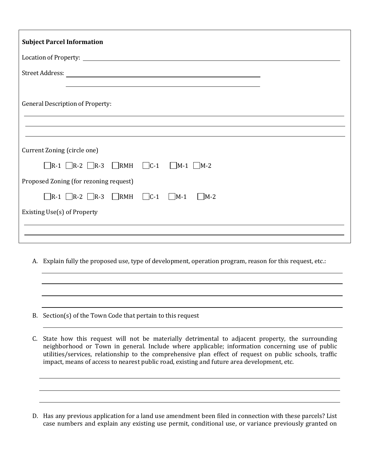| <b>Subject Parcel Information</b>                                               |
|---------------------------------------------------------------------------------|
|                                                                                 |
| Street Address:<br><u> 1980 - Johann Stoff, Amerikaansk politiker († 1908)</u>  |
| <b>General Description of Property:</b>                                         |
|                                                                                 |
| Current Zoning (circle one)                                                     |
| $\Box$ R-1 $\Box$ R-2 $\Box$ R-3 $\Box$ RMH $\Box$ C-1 $\Box$ M-1 $\Box$ M-2    |
| Proposed Zoning (for rezoning request)                                          |
| $\Box$ R-1 $\Box$ R-2 $\Box$ R-3 $\Box$ RMH $\Box$ C-1 $\Box$ M-1<br>$\Box$ M-2 |
| Existing Use(s) of Property                                                     |
|                                                                                 |

A. Explain fully the proposed use, type of development, operation program, reason for this request, etc.:

B. Section(s) of the Town Code that pertain to this request

C. State how this request will not be materially detrimental to adjacent property, the surrounding neighborhood or Town in general. Include where applicable; information concerning use of public utilities/services, relationship to the comprehensive plan effect of request on public schools, traffic impact, means of access to nearest public road, existing and future area development, etc.

D. Has any previous application for a land use amendment been filed in connection with these parcels? List case numbers and explain any existing use permit, conditional use, or variance previously granted on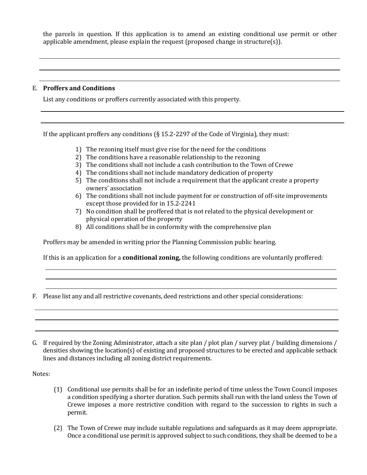the parcels in question. If this application is to amend an existing conditional use permit or other applicable amendment, please explain the request (proposed change in structure(s)).

## E. **Proffers and Conditions**

List any conditions or proffers currently associated with this property.

If the applicant proffers any conditions (§ 15.2-2297 of the Code of Virginia), they must:

- 1) The rezoning itself must give rise for the need for the conditions
- 2) The conditions have a reasonable relationship to the rezoning
- 3) The conditions shall not include a cash contribution to the Town of Crewe
- 4) The conditions shall not include mandatory dedication of property
- 5) The conditions shall not include a requirement that the applicant create a property owners' association
- 6) The conditions shall not include payment for or construction of off-site improvements except those provided for in 15.2-2241
- 7) No condition shall be proffered that is not related to the physical development or physical operation of the property
- 8) All conditions shall be in conformity with the comprehensive plan

Proffers may be amended in writing prior the Planning Commission public hearing.

If this is an application for a **conditional zoning,** the following conditions are voluntarily proffered:

- F. Please list any and all restrictive covenants, deed restrictions and other special considerations:
- G. If required by the Zoning Administrator, attach a site plan / plot plan / survey plat / building dimensions / densities showing the location(s) of existing and proposed structures to be erected and applicable setback lines and distances including all zoning district requirements.

Notes:

- (1) Conditional use permits shall be for an indefinite period of time unless the Town Council imposes a condition specifying a shorter duration. Such permits shall run with the land unless the Town of Crewe imposes a more restrictive condition with regard to the succession to rights in such a permit.
- (2) The Town of Crewe may include suitable regulations and safeguards as it may deem appropriate. Once a conditional use permit is approved subject to such conditions, they shall be deemed to be a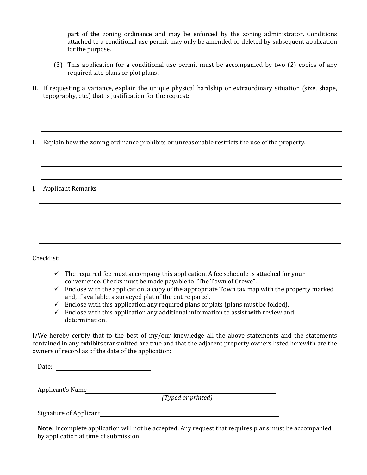part of the zoning ordinance and may be enforced by the zoning administrator. Conditions attached to a conditional use permit may only be amended or deleted by subsequent application for the purpose.

- (3) This application for a conditional use permit must be accompanied by two (2) copies of any required site plans or plot plans.
- H. If requesting a variance, explain the unique physical hardship or extraordinary situation (size, shape, topography, etc.) that is justification for the request:

I. Explain how the zoning ordinance prohibits or unreasonable restricts the use of the property.

J. Applicant Remarks

Checklist:

- $\checkmark$  The required fee must accompany this application. A fee schedule is attached for your convenience. Checks must be made payable to "The Town of Crewe".
- $\checkmark$  Enclose with the application, a copy of the appropriate Town tax map with the property marked and, if available, a surveyed plat of the entire parcel.
- $\checkmark$  Enclose with this application any required plans or plats (plans must be folded).
- $\checkmark$  Enclose with this application any additional information to assist with review and determination.

I/We hereby certify that to the best of my/our knowledge all the above statements and the statements contained in any exhibits transmitted are true and that the adjacent property owners listed herewith are the owners of record as of the date of the application:

Date:

Applicant's Name

*(Typed or printed)*

Signature of Applicant

**Note**: Incomplete application will not be accepted. Any request that requires plans must be accompanied by application at time of submission.